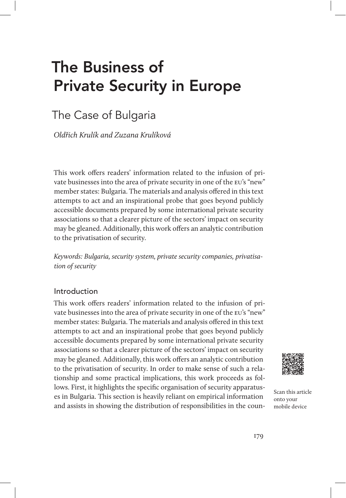# The Business of Private Security in Europe

# The Case of Bulgaria

Oldřich Krulík and Zuzana Krulíková

This work offers readers' information related to the infusion of private businesses into the area of private security in one of the eu's "new" member states: Bulgaria. The materials and analysis offered in this text attempts to act and an inspirational probe that goes beyond publicly accessible documents prepared by some international private security associations so that a clearer picture of the sectors' impact on security may be gleaned. Additionally, this work offers an analytic contribution to the privatisation of security.

Keywords: Bulgaria, security system, private security companies, privatisation of security

### Introduction

This work offers readers' information related to the infusion of private businesses into the area of private security in one of the eu's "new" member states: Bulgaria. The materials and analysis offered in this text attempts to act and an inspirational probe that goes beyond publicly accessible documents prepared by some international private security associations so that a clearer picture of the sectors' impact on security may be gleaned. Additionally, this work offers an analytic contribution to the privatisation of security. In order to make sense of such a relationship and some practical implications, this work proceeds as follows. First, it highlights the specific organisation of security apparatuses in Bulgaria. This section is heavily reliant on empirical information and assists in showing the distribution of responsibilities in the coun-



Scan this article onto your mobile device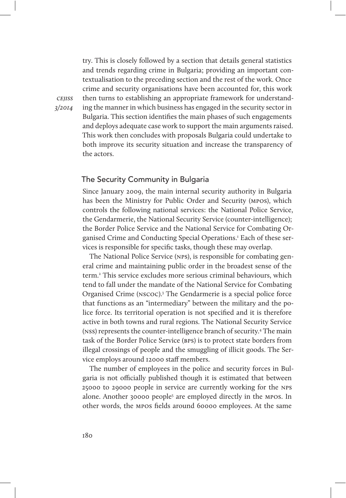try. This is closely followed by a section that details general statistics and trends regarding crime in Bulgaria; providing an important contextualisation to the preceding section and the rest of the work. Once crime and security organisations have been accounted for, this work then turns to establishing an appropriate framework for understanding the manner in which business has engaged in the security sector in Bulgaria. This section identifies the main phases of such engagements and deploys adequate case work to support the main arguments raised. This work then concludes with proposals Bulgaria could undertake to both improve its security situation and increase the transparency of the actors.

#### The Security Community in Bulgaria

Since January 2009, the main internal security authority in Bulgaria has been the Ministry for Public Order and Security (mpos), which controls the following national services: the National Police Service, the Gendarmerie, the National Security Service (counter-intelligence); the Border Police Service and the National Service for Combating Organised Crime and Conducting Special Operations.<sup>1</sup> Each of these services is responsible for specific tasks, though these may overlap.

The National Police Service (nps), is responsible for combating general crime and maintaining public order in the broadest sense of the term.2 This service excludes more serious criminal behaviours, which tend to fall under the mandate of the National Service for Combating Organised Crime (nscoc).3 The Gendarmerie is a special police force that functions as an "intermediary" between the military and the police force. Its territorial operation is not specified and it is therefore active in both towns and rural regions. The National Security Service (nss) represents the counter-intelligence branch of security.4 The main task of the Border Police Service (bps) is to protect state borders from illegal crossings of people and the smuggling of illicit goods. The Service employs around 12000 staff members.

The number of employees in the police and security forces in Bulgaria is not officially published though it is estimated that between 25000 to 29000 people in service are currently working for the nps alone. Another 30000 people<sup>5</sup> are employed directly in the MPOS. In other words, the mpos fields around 60000 employees. At the same

cejiss 3/2014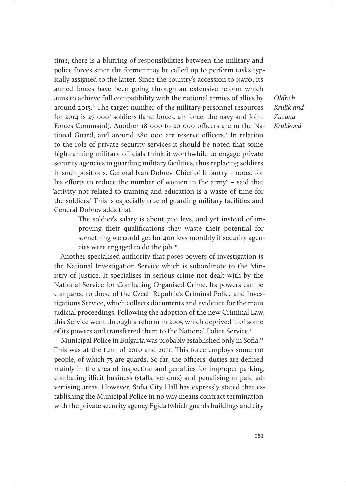time, there is a blurring of responsibilities between the military and police forces since the former may be called up to perform tasks typically assigned to the latter. Since the country's accession to NATO, its armed forces have been going through an extensive reform which aims to achieve full compatibility with the national armies of allies by around 2015.<sup>6</sup> The target number of the military personnel resources for 2014 is 27 000<sup>7</sup> soldiers (land forces, air force, the navy and Joint Forces Command). Another 18 000 to 20 000 officers are in the National Guard, and around 280 000 are reserve officers.<sup>8</sup> In relation to the role of private security services it should be noted that some high-ranking military officials think it worthwhile to engage private security agencies in guarding military facilities, thus replacing soldiers in such positions. General Ivan Dobrev, Chief of Infantry – noted for his efforts to reduce the number of women in the army<sup>9</sup> - said that 'activity not related to training and education is a waste of time for the soldiers.' This is especially true of guarding military facilities and General Dobrev adds that

> The soldier's salary is about 700 levs, and yet instead of improving their qualifications they waste their potential for something we could get for 400 levs monthly if security agencies were engaged to do the job.10

Another specialised authority that poses powers of investigation is the National Investigation Service which is subordinate to the Ministry of Justice. It specialises in serious crime not dealt with by the National Service for Combating Organised Crime. Its powers can be compared to those of the Czech Republic's Criminal Police and Investigations Service, which collects documents and evidence for the main judicial proceedings. Following the adoption of the new Criminal Law, this Service went through a reform in 2005 which deprived it of some of its powers and transferred them to the National Police Service.<sup>11</sup>

Municipal Police in Bulgaria was probably established only in Sofia.<sup>12</sup> This was at the turn of 2010 and 2011. This force employs some 110 people, of which 75 are guards. So far, the officers' duties are defined mainly in the area of inspection and penalties for improper parking, combating illicit business (stalls, vendors) and penalising unpaid advertising areas. However, Sofia City Hall has expressly stated that establishing the Municipal Police in no way means contract termination with the private security agency Egida (which guards buildings and city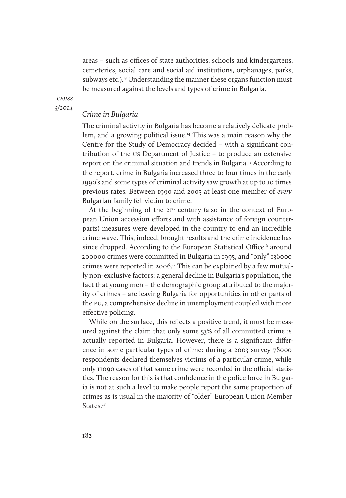areas – such as offices of state authorities, schools and kindergartens, cemeteries, social care and social aid institutions, orphanages, parks, subways etc. $l^{13}$  Understanding the manner these organs function must be measured against the levels and types of crime in Bulgaria.

**CEIISS** 3/2014

#### Crime in Bulgaria

The criminal activity in Bulgaria has become a relatively delicate problem, and a growing political issue.14 This was a main reason why the Centre for the Study of Democracy decided – with a significant contribution of the us Department of Justice – to produce an extensive report on the criminal situation and trends in Bulgaria.15 According to the report, crime in Bulgaria increased three to four times in the early 1990's and some types of criminal activity saw growth at up to 10 times previous rates. Between 1990 and 2005 at least one member of every Bulgarian family fell victim to crime.

At the beginning of the  $2I<sup>st</sup>$  century (also in the context of European Union accession efforts and with assistance of foreign counterparts) measures were developed in the country to end an incredible crime wave. This, indeed, brought results and the crime incidence has since dropped. According to the European Statistical Office<sup>16</sup> around 200000 crimes were committed in Bulgaria in 1995, and "only" 136000 crimes were reported in 2006.<sup>17</sup> This can be explained by a few mutually non-exclusive factors: a general decline in Bulgaria's population, the fact that young men – the demographic group attributed to the majority of crimes – are leaving Bulgaria for opportunities in other parts of the eu, a comprehensive decline in unemployment coupled with more effective policing.

While on the surface, this reflects a positive trend, it must be measured against the claim that only some 53% of all committed crime is actually reported in Bulgaria. However, there is a significant difference in some particular types of crime: during a 2003 survey 78000 respondents declared themselves victims of a particular crime, while only 11090 cases of that same crime were recorded in the official statistics. The reason for this is that confidence in the police force in Bulgaria is not at such a level to make people report the same proportion of crimes as is usual in the majority of "older" European Union Member States.<sup>18</sup>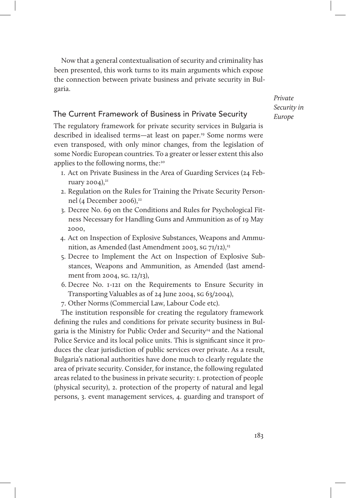Now that a general contextualisation of security and criminality has been presented, this work turns to its main arguments which expose the connection between private business and private security in Bulgaria.

> Private Security in Europe

# The Current Framework of Business in Private Security

The regulatory framework for private security services in Bulgaria is described in idealised terms—at least on paper.19 Some norms were even transposed, with only minor changes, from the legislation of some Nordic European countries. To a greater or lesser extent this also applies to the following norms, the:<sup>20</sup>

- 1. Act on Private Business in the Area of Guarding Services (24 February 2004), $21$
- 2. Regulation on the Rules for Training the Private Security Personnel (4 December 2006),<sup>22</sup>
- 3. Decree No. 69 on the Conditions and Rules for Psychological Fitness Necessary for Handling Guns and Ammunition as of 19 May 2000,
- 4. Act on Inspection of Explosive Substances, Weapons and Ammunition, as Amended (last Amendment 2003, sg  $71/12$ ),<sup>23</sup>
- 5. Decree to Implement the Act on Inspection of Explosive Substances, Weapons and Ammunition, as Amended (last amendment from 2004, sg. 12/13),
- 6. Decree No. 1-121 on the Requirements to Ensure Security in Transporting Valuables as of 24 June 2004, sg 63/2004),
- 7. Other Norms (Commercial Law, Labour Code etc).

The institution responsible for creating the regulatory framework defining the rules and conditions for private security business in Bulgaria is the Ministry for Public Order and Security<sup>24</sup> and the National Police Service and its local police units. This is significant since it produces the clear jurisdiction of public services over private. As a result, Bulgaria's national authorities have done much to clearly regulate the area of private security. Consider, for instance, the following regulated areas related to the business in private security: 1. protection of people (physical security), 2. protection of the property of natural and legal persons, 3. event management services, 4. guarding and transport of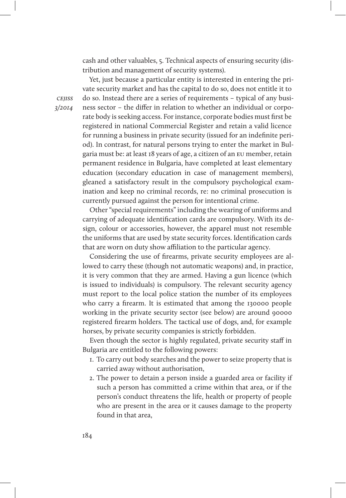cash and other valuables, 5. Technical aspects of ensuring security (distribution and management of security systems).

Yet, just because a particular entity is interested in entering the private security market and has the capital to do so, does not entitle it to do so. Instead there are a series of requirements – typical of any business sector – the differ in relation to whether an individual or corporate body is seeking access. For instance, corporate bodies must first be registered in national Commercial Register and retain a valid licence for running a business in private security (issued for an indefinite period). In contrast, for natural persons trying to enter the market in Bulgaria must be: at least 18 years of age, a citizen of an eu member, retain permanent residence in Bulgaria, have completed at least elementary education (secondary education in case of management members), gleaned a satisfactory result in the compulsory psychological examination and keep no criminal records, re: no criminal prosecution is currently pursued against the person for intentional crime.

Other "special requirements" including the wearing of uniforms and carrying of adequate identification cards are compulsory. With its design, colour or accessories, however, the apparel must not resemble the uniforms that are used by state security forces. Identification cards that are worn on duty show affiliation to the particular agency.

Considering the use of firearms, private security employees are allowed to carry these (though not automatic weapons) and, in practice, it is very common that they are armed. Having a gun licence (which is issued to individuals) is compulsory. The relevant security agency must report to the local police station the number of its employees who carry a firearm. It is estimated that among the 130000 people working in the private security sector (see below) are around 90000 registered firearm holders. The tactical use of dogs, and, for example horses, by private security companies is strictly forbidden.

Even though the sector is highly regulated, private security staff in Bulgaria are entitled to the following powers:

- 1. To carry out body searches and the power to seize property that is carried away without authorisation,
- 2. The power to detain a person inside a guarded area or facility if such a person has committed a crime within that area, or if the person's conduct threatens the life, health or property of people who are present in the area or it causes damage to the property found in that area,

**CEIISS** 3/2014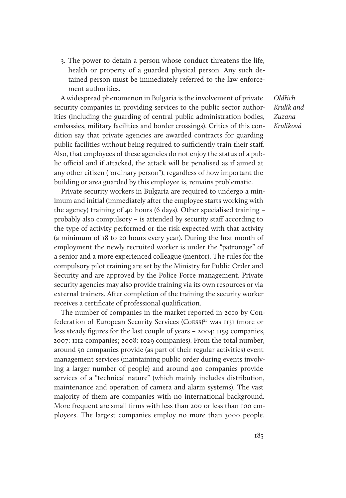3. The power to detain a person whose conduct threatens the life, health or property of a guarded physical person. Any such detained person must be immediately referred to the law enforcement authorities.

A widespread phenomenon in Bulgaria is the involvement of private security companies in providing services to the public sector authorities (including the guarding of central public administration bodies, embassies, military facilities and border crossings). Critics of this condition say that private agencies are awarded contracts for guarding public facilities without being required to sufficiently train their staff. Also, that employees of these agencies do not enjoy the status of a public official and if attacked, the attack will be penalised as if aimed at any other citizen ("ordinary person"), regardless of how important the building or area guarded by this employee is, remains problematic.

Private security workers in Bulgaria are required to undergo a minimum and initial (immediately after the employee starts working with the agency) training of 40 hours (6 days). Other specialised training – probably also compulsory – is attended by security staff according to the type of activity performed or the risk expected with that activity (a minimum of 18 to 20 hours every year). During the first month of employment the newly recruited worker is under the "patronage" of a senior and a more experienced colleague (mentor). The rules for the compulsory pilot training are set by the Ministry for Public Order and Security and are approved by the Police Force management. Private security agencies may also provide training via its own resources or via external trainers. After completion of the training the security worker receives a certificate of professional qualification.

The number of companies in the market reported in 2010 by Confederation of European Security Services (Coess) <sup>25</sup> was 1131 (more or less steady figures for the last couple of years – 2004: 1159 companies, 2007: 1112 companies; 2008: 1029 companies). From the total number, around 50 companies provide (as part of their regular activities) event management services (maintaining public order during events involving a larger number of people) and around 400 companies provide services of a "technical nature" (which mainly includes distribution, maintenance and operation of camera and alarm systems). The vast majority of them are companies with no international background. More frequent are small firms with less than 200 or less than 100 employees. The largest companies employ no more than 3000 people.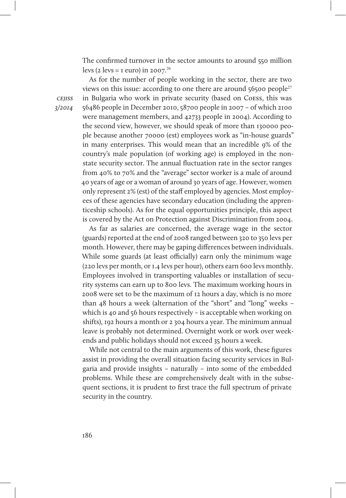The confirmed turnover in the sector amounts to around 550 million levs (2 levs =  $\mu$  euro) in 2007.<sup>26</sup>

**CEIISS** 3/2014

As for the number of people working in the sector, there are two views on this issue: according to one there are around  $56500$  people<sup>27</sup> in Bulgaria who work in private security (based on Coess, this was 56486 people in December 2010, 58700 people in 2007 – of which 2100 were management members, and 42733 people in 2004). According to the second view, however, we should speak of more than 130000 people because another 70000 (est) employees work as "in-house guards" in many enterprises. This would mean that an incredible 9% of the country's male population (of working age) is employed in the nonstate security sector. The annual fluctuation rate in the sector ranges from 40% to 70% and the "average" sector worker is a male of around 40 years of age or a woman of around 30 years of age. However, women only represent 2% (est) of the staff employed by agencies. Most employees of these agencies have secondary education (including the apprenticeship schools). As for the equal opportunities principle, this aspect is covered by the Act on Protection against Discrimination from 2004.

As far as salaries are concerned, the average wage in the sector (guards) reported at the end of 2008 ranged between 320 to 350 levs per month. However, there may be gaping differences between individuals. While some guards (at least officially) earn only the minimum wage (220 levs per month, or 1.4 levs per hour), others earn 600 levs monthly. Employees involved in transporting valuables or installation of security systems can earn up to 800 levs. The maximum working hours in 2008 were set to be the maximum of 12 hours a day, which is no more than 48 hours a week (alternation of the "short" and "long" weeks – which is 40 and 56 hours respectively – is acceptable when working on shifts), 192 hours a month or 2 304 hours a year. The minimum annual leave is probably not determined. Overnight work or work over weekends and public holidays should not exceed 35 hours a week.

While not central to the main arguments of this work, these figures assist in providing the overall situation facing security services in Bulgaria and provide insights – naturally – into some of the embedded problems. While these are comprehensively dealt with in the subsequent sections, it is prudent to first trace the full spectrum of private security in the country.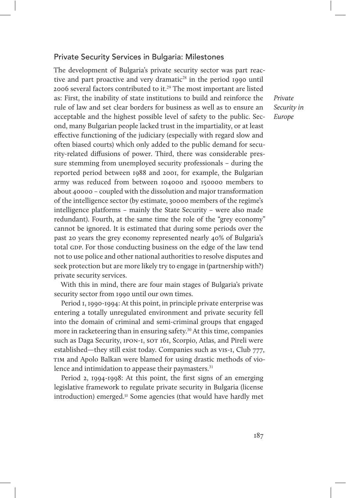#### Private Security Services in Bulgaria: Milestones

The development of Bulgaria's private security sector was part reactive and part proactive and very dramatic<sup>28</sup> in the period 1990 until 2006 several factors contributed to it.<sup>29</sup> The most important are listed as: First, the inability of state institutions to build and reinforce the rule of law and set clear borders for business as well as to ensure an acceptable and the highest possible level of safety to the public. Second, many Bulgarian people lacked trust in the impartiality, or at least effective functioning of the judiciary (especially with regard slow and often biased courts) which only added to the public demand for security-related diffusions of power. Third, there was considerable pressure stemming from unemployed security professionals – during the reported period between 1988 and 2001, for example, the Bulgarian army was reduced from between 104000 and 150000 members to about 40000 – coupled with the dissolution and major transformation of the intelligence sector (by estimate, 30000 members of the regime's intelligence platforms – mainly the State Security – were also made redundant). Fourth, at the same time the role of the "grey economy" cannot be ignored. It is estimated that during some periods over the past 20 years the grey economy represented nearly 40% of Bulgaria's total GDP. For those conducting business on the edge of the law tend not to use police and other national authorities to resolve disputes and seek protection but are more likely try to engage in (partnership with?) private security services.

With this in mind, there are four main stages of Bulgaria's private security sector from 1990 until our own times.

Period 1, 1990-1994: At this point, in principle private enterprise was entering a totally unregulated environment and private security fell into the domain of criminal and semi-criminal groups that engaged more in racketeering than in ensuring safety.<sup>30</sup> At this time, companies such as Daga Security, 1PON-1, SOT 161, Scorpio, Atlas, and Pireli were established—they still exist today. Companies such as vis-1, Club 777, TIM and Apolo Balkan were blamed for using drastic methods of violence and intimidation to appease their paymasters.<sup>31</sup>

Period 2, 1994-1998: At this point, the first signs of an emerging legislative framework to regulate private security in Bulgaria (license introduction) emerged.32 Some agencies (that would have hardly met Private Security in Europe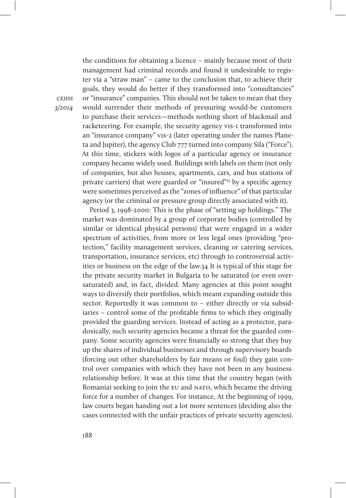the conditions for obtaining a licence – mainly because most of their management had criminal records and found it undesirable to register via a "straw man" – came to the conclusion that, to achieve their goals, they would do better if they transformed into "consultancies" or "insurance" companies. This should not be taken to mean that they would surrender their methods of pressuring would-be customers to purchase their services—methods nothing short of blackmail and racketeering. For example, the security agency vis-1 transformed into an "insurance company" vis-2 (later operating under the names Planeta and Jupiter), the agency Club 777 turned into company Sila ("Force"). At this time, stickers with logos of a particular agency or insurance company became widely used. Buildings with labels on them (not only of companies, but also houses, apartments, cars, and bus stations of private carriers) that were guarded or "insured"33 by a specific agency were sometimes perceived as the "zones of influence" of that particular agency (or the criminal or pressure group directly associated with it).

Period 3, 1998-2000: This is the phase of "setting up holdings." The market was dominated by a group of corporate bodies (controlled by similar or identical physical persons) that were engaged in a wider spectrum of activities, from more or less legal ones (providing "protection," facility management services, cleaning or catering services, transportation, insurance services, etc) through to controversial activities or business on the edge of the law.34 It is typical of this stage for the private security market in Bulgaria to be saturated (or even oversaturated) and, in fact, divided. Many agencies at this point sought ways to diversify their portfolios, which meant expanding outside this sector. Reportedly it was common to – either directly or via subsidiaries – control some of the profitable firms to which they originally provided the guarding services. Instead of acting as a protector, paradoxically, such security agencies became a threat for the guarded company. Some security agencies were financially so strong that they buy up the shares of individual businesses and through supervisory boards (forcing out other shareholders by fair means or foul) they gain control over companies with which they have not been in any business relationship before. It was at this time that the country began (with Romania) seeking to join the EU and NATO, which became the driving force for a number of changes. For instance, At the beginning of 1999, law courts began handing out a lot more sentences (deciding also the cases connected with the unfair practices of private security agencies).

**CEIISS** 3/2014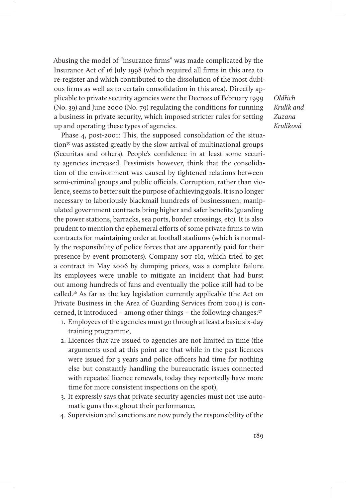Abusing the model of "insurance firms" was made complicated by the Insurance Act of 16 July 1998 (which required all firms in this area to re-register and which contributed to the dissolution of the most dubious firms as well as to certain consolidation in this area). Directly applicable to private security agencies were the Decrees of February 1999 (No. 39) and June 2000 (No. 79) regulating the conditions for running a business in private security, which imposed stricter rules for setting up and operating these types of agencies.

Phase 4, post-2001: This, the supposed consolidation of the situation<sup>35</sup> was assisted greatly by the slow arrival of multinational groups (Securitas and others). People's confidence in at least some security agencies increased. Pessimists however, think that the consolidation of the environment was caused by tightened relations between semi-criminal groups and public officials. Corruption, rather than violence, seems to better suit the purpose of achieving goals. It is no longer necessary to laboriously blackmail hundreds of businessmen; manipulated government contracts bring higher and safer benefits (guarding the power stations, barracks, sea ports, border crossings, etc). It is also prudent to mention the ephemeral efforts of some private firms to win contracts for maintaining order at football stadiums (which is normally the responsibility of police forces that are apparently paid for their presence by event promoters). Company sor 161, which tried to get a contract in May 2006 by dumping prices, was a complete failure. Its employees were unable to mitigate an incident that had burst out among hundreds of fans and eventually the police still had to be called.36 As far as the key legislation currently applicable (the Act on Private Business in the Area of Guarding Services from 2004) is concerned, it introduced – among other things – the following changes:37

- 1. Employees of the agencies must go through at least a basic six-day training programme,
- 2. Licences that are issued to agencies are not limited in time (the arguments used at this point are that while in the past licences were issued for 3 years and police officers had time for nothing else but constantly handling the bureaucratic issues connected with repeated licence renewals, today they reportedly have more time for more consistent inspections on the spot),
- 3. It expressly says that private security agencies must not use automatic guns throughout their performance,
- 4. Supervision and sanctions are now purely the responsibility of the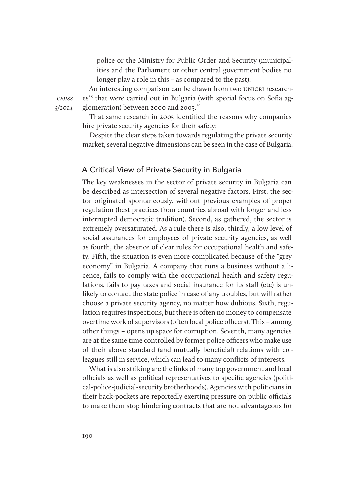police or the Ministry for Public Order and Security (municipalities and the Parliament or other central government bodies no longer play a role in this – as compared to the past).

An interesting comparison can be drawn from two UNICRI researches<sup>38</sup> that were carried out in Bulgaria (with special focus on Sofia agglomeration) between 2000 and 2005.<sup>39</sup>

That same research in 2005 identified the reasons why companies hire private security agencies for their safety:

Despite the clear steps taken towards regulating the private security market, several negative dimensions can be seen in the case of Bulgaria.

#### A Critical View of Private Security in Bulgaria

The key weaknesses in the sector of private security in Bulgaria can be described as intersection of several negative factors. First, the sector originated spontaneously, without previous examples of proper regulation (best practices from countries abroad with longer and less interrupted democratic tradition). Second, as gathered, the sector is extremely oversaturated. As a rule there is also, thirdly, a low level of social assurances for employees of private security agencies, as well as fourth, the absence of clear rules for occupational health and safety. Fifth, the situation is even more complicated because of the "grey economy" in Bulgaria. A company that runs a business without a licence, fails to comply with the occupational health and safety regulations, fails to pay taxes and social insurance for its staff (etc) is unlikely to contact the state police in case of any troubles, but will rather choose a private security agency, no matter how dubious. Sixth, regulation requires inspections, but there is often no money to compensate overtime work of supervisors (often local police officers). This – among other things – opens up space for corruption. Seventh, many agencies are at the same time controlled by former police officers who make use of their above standard (and mutually beneficial) relations with colleagues still in service, which can lead to many conflicts of interests.

What is also striking are the links of many top government and local officials as well as political representatives to specific agencies (political-police-judicial-security brotherhoods). Agencies with politicians in their back-pockets are reportedly exerting pressure on public officials to make them stop hindering contracts that are not advantageous for

**CEIISS** 3/2014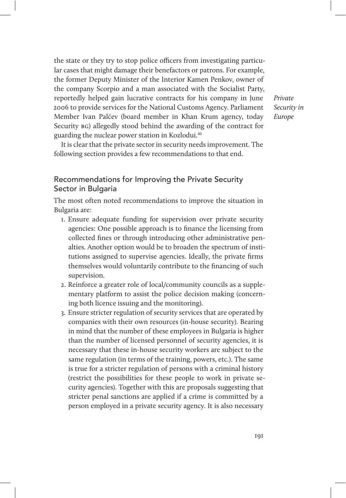the state or they try to stop police officers from investigating particular cases that might damage their benefactors or patrons. For example, the former Deputy Minister of the Interior Kamen Penkov, owner of the company Scorpio and a man associated with the Socialist Party, reportedly helped gain lucrative contracts for his company in June 2006 to provide services for the National Customs Agency. Parliament Member Ivan Palćev (board member in Khan Krum agency, today Security  $BG$ ) allegedly stood behind the awarding of the contract for guarding the nuclear power station in Kozlodui.<sup>40</sup>

Private Security in Europe

It is clear that the private sector in security needs improvement. The following section provides a few recommendations to that end.

## Recommendations for Improving the Private Security Sector in Bulgaria

The most often noted recommendations to improve the situation in Bulgaria are:

- 1. Ensure adequate funding for supervision over private security agencies: One possible approach is to finance the licensing from collected fines or through introducing other administrative penalties. Another option would be to broaden the spectrum of institutions assigned to supervise agencies. Ideally, the private firms themselves would voluntarily contribute to the financing of such supervision.
- 2. Reinforce a greater role of local/community councils as a supplementary platform to assist the police decision making (concerning both licence issuing and the monitoring).
- 3. Ensure stricter regulation of security services that are operated by companies with their own resources (in-house security). Bearing in mind that the number of these employees in Bulgaria is higher than the number of licensed personnel of security agencies, it is necessary that these in-house security workers are subject to the same regulation (in terms of the training, powers, etc.). The same is true for a stricter regulation of persons with a criminal history (restrict the possibilities for these people to work in private security agencies). Together with this are proposals suggesting that stricter penal sanctions are applied if a crime is committed by a person employed in a private security agency. It is also necessary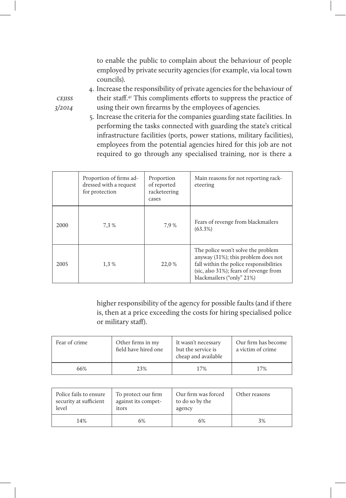to enable the public to complain about the behaviour of people employed by private security agencies (for example, via local town councils).

4. Increase the responsibility of private agencies for the behaviour of their staff. 41 This compliments efforts to suppress the practice of using their own firearms by the employees of agencies.

5. Increase the criteria for the companies guarding state facilities. In performing the tasks connected with guarding the state's critical infrastructure facilities (ports, power stations, military facilities), employees from the potential agencies hired for this job are not required to go through any specialised training, nor is there a

|      | Proportion of firms ad-<br>dressed with a request<br>for protection | Proportion<br>of reported<br>racketeering<br>cases | Main reasons for not reporting rack-<br>eteering                                                                                                                                            |
|------|---------------------------------------------------------------------|----------------------------------------------------|---------------------------------------------------------------------------------------------------------------------------------------------------------------------------------------------|
| 2000 | 7.3%                                                                | 7,9%                                               | Fears of revenge from blackmailers<br>$(63.3\%)$                                                                                                                                            |
| 2005 | 1,3%                                                                | 22,0 %                                             | The police won't solve the problem<br>anyway (31%); this problem does not<br>fall within the police responsibilities<br>(sic, also 31%); fears of revenge from<br>blackmailers ("only" 21%) |

higher responsibility of the agency for possible faults (and if there is, then at a price exceeding the costs for hiring specialised police or military staff).

| Fear of crime | Other firms in my<br>field have hired one | It wasn't necessary<br>but the service is<br>cheap and available | Our firm has become<br>a victim of crime |
|---------------|-------------------------------------------|------------------------------------------------------------------|------------------------------------------|
| 66%           | 23%                                       | 17%                                                              | 17%                                      |

| Police fails to ensure | To protect our firm | Our firm was forced | Other reasons |
|------------------------|---------------------|---------------------|---------------|
| security at sufficient | against its compet- | to do so by the     |               |
| level                  | itors               | agency              |               |
| 14%                    | 6%                  | 6%                  | 3%            |

cejiss 3/2014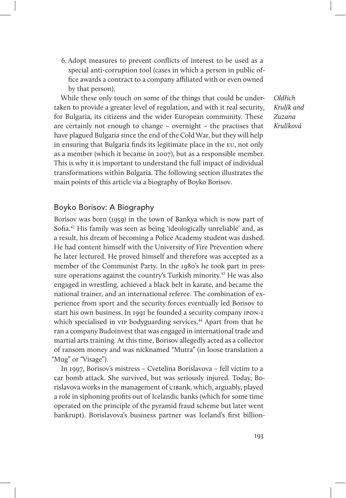6. Adopt measures to prevent conflicts of interest to be used as a special anti-corruption tool (cases in which a person in public office awards a contract to a company affiliated with or even owned by that person).

While these only touch on some of the things that could be undertaken to provide a greater level of regulation, and with it real security, for Bulgaria, its citizens and the wider European community. These are certainly not enough to change – overnight – the practises that have plagued Bulgaria since the end of the Cold War, but they will help in ensuring that Bulgaria finds its legitimate place in the eu, not only as a member (which it became in 2007), but as a responsible member. This is why it is important to understand the full impact of individual transformations within Bulgaria. The following section illustrates the main points of this article via a biography of Boyko Borisov.

Boyko Borisov: A Biography

Borisov was born (1959) in the town of Bankya which is now part of Sofia.<sup>42</sup> His family was seen as being 'ideologically unreliable' and, as a result, his dream of becoming a Police Academy student was dashed. He had content himself with the University of Fire Prevention where he later lectured. He proved himself and therefore was accepted as a member of the Communist Party. In the 1980's he took part in pressure operations against the country's Turkish minority.<sup>43</sup> He was also engaged in wrestling, achieved a black belt in karate, and became the national trainer, and an international referee. The combination of experience from sport and the security forces eventually led Borisov to start his own business. In 1991 he founded a security company ipon-1 which specialised in vip bodyguarding services.<sup>44</sup> Apart from that he ran a company Budoinvest that was engaged in international trade and martial arts training. At this time, Borisov allegedly acted as a collector of ransom money and was nicknamed "Mutra" (in loose translation a "Mug" or "Visage").

In 1997, Borisov's mistress – Cvetelina Borislavova – fell victim to a car bomb attack. She survived, but was seriously injured. Today, Borislavova works in the management of cibank, which, arguably, played a role in siphoning profits out of Icelandic banks (which for some time operated on the principle of the pyramid fraud scheme but later went bankrupt). Borislavova's business partner was Iceland's first billion-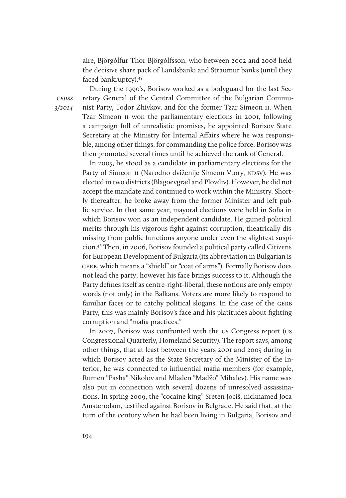aire, Björgólfur Thor Björgólfsson, who between 2002 and 2008 held the decisive share pack of Landsbanki and Straumur banks (until they faced bankruptcy).<sup>45</sup>

**CEIISS** 3/2014

During the 1990's, Borisov worked as a bodyguard for the last Secretary General of the Central Committee of the Bulgarian Communist Party, Todor Zhivkov, and for the former Tzar Simeon ii. When Tzar Simeon ii won the parliamentary elections in 2001, following a campaign full of unrealistic promises, he appointed Borisov State Secretary at the Ministry for Internal Affairs where he was responsible, among other things, for commanding the police force. Borisov was then promoted several times until he achieved the rank of General.

In 2005, he stood as a candidate in parliamentary elections for the Party of Simeon II (Narodno dviženije Simeon Vtory, NDSV). He was elected in two districts (Blagoevgrad and Plovdiv). However, he did not accept the mandate and continued to work within the Ministry. Shortly thereafter, he broke away from the former Minister and left public service. In that same year, mayoral elections were held in Sofia in which Borisov won as an independent candidate. He gained political merits through his vigorous fight against corruption, theatrically dismissing from public functions anyone under even the slightest suspicion.46 Then, in 2006, Borisov founded a political party called Citizens for European Development of Bulgaria (its abbreviation in Bulgarian is GERB, which means a "shield" or "coat of arms"). Formally Borisov does not lead the party; however his face brings success to it. Although the Party defines itself as centre-right-liberal, these notions are only empty words (not only) in the Balkans. Voters are more likely to respond to familiar faces or to catchy political slogans. In the case of the GERB Party, this was mainly Borisov's face and his platitudes about fighting corruption and "mafia practices."

In 2007, Borisov was confronted with the us Congress report (us Congressional Quarterly, Homeland Security). The report says, among other things, that at least between the years 2001 and 2005 during in which Borisov acted as the State Secretary of the Minister of the Interior, he was connected to influential mafia members (for example, Rumen "Pasha" Nikolov and Mladen "Madžo" Mihalev). His name was also put in connection with several dozens of unresolved assassinations. In spring 2009, the "cocaine king" Sreten Jociš, nicknamed Joca Amsterodam, testified against Borisov in Belgrade. He said that, at the turn of the century when he had been living in Bulgaria, Borisov and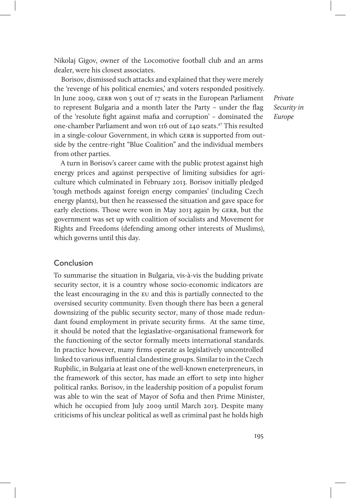Nikolaj Gigov, owner of the Locomotive football club and an arms dealer, were his closest associates.

Borisov, dismissed such attacks and explained that they were merely the 'revenge of his political enemies,' and voters responded positively. In June 2009, GERB won 5 out of 17 seats in the European Parliament to represent Bulgaria and a month later the Party – under the flag of the 'resolute fight against mafia and corruption' – dominated the one-chamber Parliament and won 116 out of 240 seats.<sup>47</sup> This resulted in a single-colour Government, in which GERB is supported from outside by the centre-right "Blue Coalition" and the individual members from other parties.

Private Security in Europe

A turn in Borisov's career came with the public protest against high energy prices and against perspective of limiting subsidies for agriculture which culminated in February 2013. Borisov initially pledged 'tough methods against foreign energy companies' (including Czech energy plants), but then he reassessed the situation and gave space for early elections. Those were won in May 2013 again by GERB, but the government was set up with coalition of socialists and Movement for Rights and Freedoms (defending among other interests of Muslims), which governs until this day.

#### Conclusion

To summarise the situation in Bulgaria, vis-à-vis the budding private security sector, it is a country whose socio-economic indicators are the least encouraging in the eu and this is partially connected to the oversised security community. Even though there has been a general downsizing of the public security sector, many of those made redundant found employment in private security firms. At the same time, it should be noted that the legiaslative-organisational framework for the functioning of the sector formally meets international standards. In practice however, many firms operate as legislatively uncontrolled linked to various influential clandestine groups. Similar to in the Czech Rupbilic, in Bulgaria at least one of the well-known eneterpreneurs, in the framework of this sector, has made an effort to setp into higher political ranks. Borisov, in the leadership position of a populist forum was able to win the seat of Mayor of Sofia and then Prime Minister, which he occupied from July 2009 until March 2013. Despite many criticisms of his unclear political as well as criminal past he holds high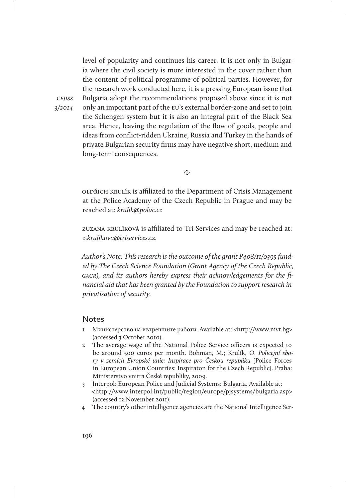level of popularity and continues his career. It is not only in Bulgaria where the civil society is more interested in the cover rather than the content of political programme of political parties. However, for the research work conducted here, it is a pressing European issue that Bulgaria adopt the recommendations proposed above since it is not only an important part of the eu's external border-zone and set to join the Schengen system but it is also an integral part of the Black Sea area. Hence, leaving the regulation of the flow of goods, people and ideas from conflict-ridden Ukraine, Russia and Turkey in the hands of private Bulgarian security firms may have negative short, medium and long-term consequences.

@

oldřich krulík is afliated to the Department of Crisis Management at the Police Academy of the Czech Republic in Prague and may be reached at: krulik@polac.cz

zuzana krulíková is afliated to Tri Services and may be reached at: z.krulikova@triservices.cz.

Author's Note: This research is the outcome of the grant P408/11/0395 funded by The Czech Science Foundation (Grant Agency of the Czech Republic, gacr), and its authors hereby express their acknowledgements for the financial aid that has been granted by the Foundation to support research in privatisation of security.

#### Notes

cejiss 3/2014

- 1 Министерство на вътрешните работи. Available at: <http://www.mvr.bg> (accessed 3 October 2010).
- 2 The average wage of the National Police Service officers is expected to be around 500 euros per month. Bohman, M.; Krulík, O. Policejní sbory v zemích Evropské unie: Inspirace pro Českou republiku [Police Forces in European Union Countries: Inspiraton for the Czech Republic]. Praha: Ministerstvo vnitra České republiky, 2009.
- 3 Interpol: European Police and Judicial Systems: Bulgaria. Available at: <http://www.interpol.int/public/region/europe/pjsystems/bulgaria.asp> (accessed 12 November 2011).
- 4 The country's other intelligence agencies are the National Intelligence Ser-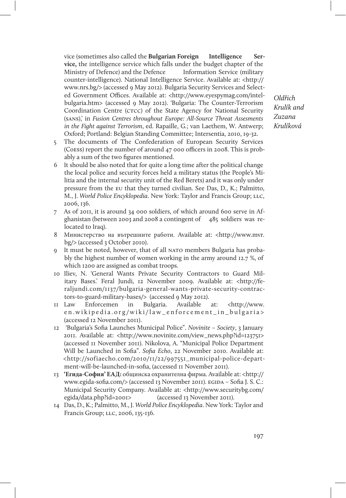vice (sometimes also called the **Bulgarian Foreign Intelligence Service,** the intelligence service which falls under the budget chapter of the Ministry of Defence) and the Defence Information Service (military counter-intelligence). National Intelligence Service. Available at: <http:// www.nrs.bg/> (accessed 9 May 2012). Bulgaria Security Services and Selected Government Offices. Available at: <http://www.eyespymag.com/intelbulgaria.htm> (accessed 9 May 2012). 'Bulgaria: The Counter-Terrorism Coordination Centre (CTCC) of the State Agency for National Security (sans),' in Fusion Centres throughout Europe: All-Source Threat Assesments in the Fight against Terrorism, ed. Rapaille, G.; van Laethem, W. Antwerp; Oxford; Portland: Belgian Standing Committee; Intersentia, 2010, 19-32.

Krulík and Zuzana Krulíková

Oldřich

- 5 The documents of The Confederation of European Security Services (Coess) report the number of around  $47$  000 officers in 2008. This is probably a sum of the two figures mentioned.
- 6 It should be also noted that for quite a long time after the political change the local police and security forces held a military status (the People's Militia and the internal security unit of the Red Berets) and it was only under pressure from the eu that they turned civilian. See Das, D., K.; Palmitto, M., J. World Police Encyklopedia. New York: Taylor and Francis Group; LLC, 2006, 136.
- 7 As of 2011, it is around 34 000 soldiers, of which around 600 serve in Afghanistan (between 2003 and 2008 a contingent of 485 soldiers was relocated to Iraq).
- 8 Министерство на вътрешните работи. Available at: <http://www.mvr. bg/> (accessed 3 October 2010).
- 9 It must be noted, however, that of all nato members Bulgaria has probably the highest number of women working in the army around 12.7 %, of which 1200 are assigned as combat troops.
- 10 Iliev, N. 'General Wants Private Security Contractors to Guard Military Bases.' Feral Jundi, 12 November 2009. Available at: <http://feraljundi.com/1137/bulgaria-general-wants-private-security-contractors-to-guard-military-bases/> (accessed 9 May 2012).
- 11 Law Enforcemen in Bulgaria. Available at: <http://www. en.wikipedia.org/wiki/law\_enforcement\_in\_bulgaria> (accessed 12 November 2011).
- 12 'Bulgaria's Sofia Launches Municipal Police". Novinite Society, 3 January 2011. Available at: <http://www.novinite.com/view\_news.php?id=123751> (accessed 11 November 2011). Nikolova, A. "Municipal Police Department Will be Launched in Sofia". Sofia Echo, 22 November 2010. Available at: <http://sofiaecho.com/2010/11/22/997551\_municipal-police-department-will-be-launched-in-sofia, (accessed 11 November 2011).
- 13 **'Егида-София' ЕАД:** общинска охранителна фирма. Available at: <http:// www.egida-sofia.com/> (accessed 13 November 2011). EGIDA - Sofia J. S. C.: Municipal Security Company. Available at: <http://www.securitybg.com/ egida/data.php?id=2001> (accessed 13 November 2011).
- 14 Das, D., K.; Palmitto, M., J. World Police Encyklopedia. New York: Taylor and Francis Group; llc, 2006, 135-136.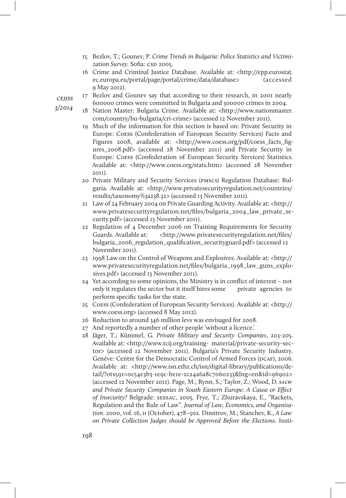- 15 Bezlov, T.; Gounev, P. Crime Trends in Bulgaria: Police Statistics and Victimization Survey. Sofia: CSD 2005.
- 16 Crime and Criminal Justice Database. Available at: <http://epp.eurostat. ec.europa.eu/portal/page/portal/crime/data/database> (accessed 9 May 2012).

**CEIISS** 

- 3/2014
- 17 Bezlov and Gounev say that according to their research, in 2001 nearly 600000 crimes were committed in Bulgaria and 300000 crimes in 2004.
- 18 Nation Master: Bulgaria Crime. Available at: <http://www.nationmaster. com/country/bu-bulgaria/cri-crime> (accessed 12 November 2011).
- 19 Much of the information for this section is based on: Private Security in Europe: Coess (Confederation of European Security Services) Facts and Figures 2008, available at: <http://www.coess.org/pdf/coess\_facts\_figures\_2008.pdf> (accessed 28 November 2011) and Private Security in Europe: Coess (Confederation of European Security Services) Statistics. Available at: <http://www.coess.org/stats.htm> (accessed 28 November 2011).
- 20 Private Military and Security Services (pmscs) Regulation Database: Bulgaria. Available at: <http://www.privatesecurityregulation.net/countries/ results/taxonomy%3a238.32> (accessed 13 November 2011).
- 21 Law of 24 February 2004 on Private Guarding Activity. Available at: <http:// www.privatesecurityregulation.net/files/bulgaria\_2004\_law\_private\_security.pdf> (accessed 13 November 2011).
- 22 Regulation of 4 December 2006 on Training Requirements for Security Guards. Available at: <http://www.privatesecurityregulation.net/files/ bulgaria\_2006\_regulation\_qualification\_securityguard.pdf> (accessed 12 November 2011).
- 23 1998 Law on the Control of Weapons and Explosives. Available at: <http:// www.privatesecurityregulation.net/files/bulgaria\_1998\_law\_guns\_explosives.pdf> (accessed 13 November 2011).
- 24 Yet according to some opinions, the Ministry is in conflict of interest not only it regulates the sector but it itself hires some private agencies to perform specific tasks for the state.
- 25 Coess (Confederation of European Security Services). Available at: <http:// www.coess.org> (accessed 8 May 2012).
- 26 Reduction to around 346 million levs was envisaged for 2008.
- 27 And reportedly a number of other people 'without a licence.'
- 28 Jäger, T.; Kümmel, G. Private Military and Security Companies, 203-205. Available at: <http://www.tcij.org/training- material/private-security-sector> (accessed 12 November 2011). Bulgaria's Private Security Industry. Genéve: Centre for the Democratic Control of Armed Forces (DCAF), 2006. Available at: <http://www.isn.ethz.ch/isn/digital-library/publications/detail/?ots591=0c54e3b3-1e9c-be1e-2c24a6a8c7060233&lng=en&id=96902> (accessed 12 November 2011). Page, M.; Rynn, S.; Taylor, Z.; Wood, D. salw and Private Security Companies in South Eastern Europe: A Cause or Effect of Insecurity? Belgrade: seesac, 2005. Frye, T.; Zhuravskaya, E., "Rackets, Regulation and the Rule of Law". Journal of Law, Economics, and Organisation. 2000, vol. 16, ii (October), 478–502. Dimitrov, M.; Stanchev, K., A Law on Private Collection Judges should be Approved Before the Elections. Insti-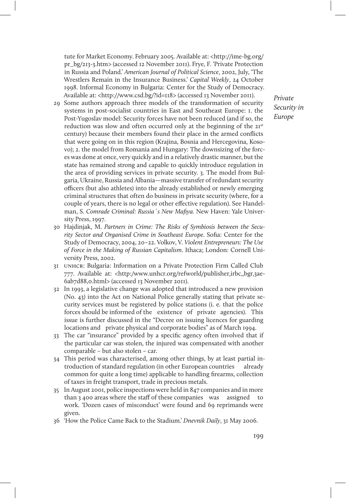tute for Market Economy. February 2005. Available at: <http://ime-bg.org/ pr\_bg/213-3.htm> (accessed 12 November 2011). Frye, F. 'Private Protection in Russia and Poland.' American Journal of Political Science, 2002, July, 'The Wrestlers Remain in the Insurance Business.' Capital Weekly, 24 October 1998. Informal Economy in Bulgaria: Center for the Study of Democracy. Available at: <http://www.csd.bg/?id=118> (accessed 13 November 2011).

- 29 Some authors approach three models of the transformation of security systems in post-socialist countries in East and Southeast Europe: 1. the Post-Yugoslav model: Security forces have not been reduced (and if so, the reduction was slow and often occurred only at the beginning of the 21<sup>st</sup> century) because their members found their place in the armed conflicts that were going on in this region (Krajina, Bosnia and Hercegovina, Kosovo); 2. the model from Romania and Hungary: The downsizing of the forces was done at once, very quickly and in a relatively drastic manner, but the state has remained strong and capable to quickly introduce regulation in the area of providing services in private security. 3. The model from Bulgaria, Ukraine, Russia and Albania—massive transfer of redundant security officers (but also athletes) into the already established or newly emerging criminal structures that often do business in private security (where, for a couple of years, there is no legal or other effective regulation). See Handelman, S. Comrade Criminal: Russia`s New Mafiya. New Haven: Yale University Press, 1997.
- 30 Hajdinjak, M. Partners in Crime: The Risks of Symbiosis between the Security Sector and Organised Crime in Southeast Europe. Sofia: Center for the Study of Democracy, 2004, 20–22. Volkov, V. Violent Entrepreneurs: The Use of Force in the Making of Russian Capitalism. Ithaca; London: Cornell University Press, 2002.
- 31 unhcr: Bulgaria: Information on a Private Protection Firm Called Club 777. Available at: <http:/www.unhcr.org/refworld/publisher,irbc,,bgr,3ae-6ab7d88,0.html> (accessed 13 November 2011).
- 32 In 1993, a legislative change was adopted that introduced a new provision (No. 43) into the Act on National Police generally stating that private security services must be registered by police stations (i. e. that the police forces should be informed of the existence of private agencies). This issue is further discussed in the "Decree on issuing licences for guarding locations and private physical and corporate bodies" as of March 1994.
- 33 The car "insurance" provided by a specific agency often involved that if the particular car was stolen, the injured was compensated with another comparable – but also stolen – car.
- 34 This period was characterised, among other things, by at least partial introduction of standard regulation (in other European countries already common for quite a long time) applicable to handling firearms, collection of taxes in freight transport, trade in precious metals.
- 35 In August 2001, police inspections were held in 847 companies and in more than 3 400 areas where the staff of these companies was assigned to work. 'Dozen cases of misconduct' were found and 69 reprimands were given.
- 36 'How the Police Came Back to the Stadium.' Dnevnik Daily, 31 May 2006.

Private Security in Europe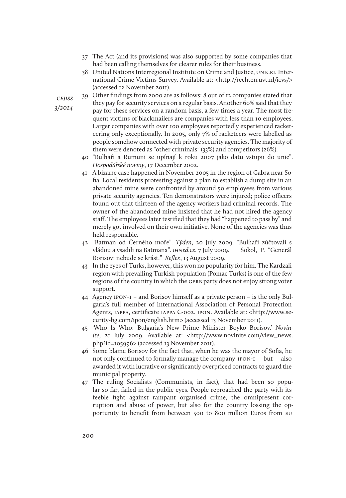- 37 The Act (and its provisions) was also supported by some companies that had been calling themselves for clearer rules for their business.
- 38 United Nations Interregional Institute on Crime and Justice, UNICRI. International Crime Victims Survey. Available at: <http://rechten.uvt.nl/icvs/> (accessed 12 November 2011).
- 39 Other findings from 2000 are as follows: 8 out of 12 companies stated that they pay for security services on a regular basis. Another 60% said that they pay for these services on a random basis, a few times a year. The most frequent victims of blackmailers are companies with less than 10 employees. Larger companies with over 100 employees reportedly experienced racketeering only exceptionally. In 2005, only 7% of racketeers were labelled as people somehow connected with private security agencies. The majority of them were denoted as "other criminals" (33%) and competitors (26%).
	- 40 "Bulhaři a Rumuni se upínají k roku 2007 jako datu vstupu do unie". Hospodářské noviny, 17 December 2002.
	- 41 A bizarre case happened in November 2005 in the region of Gabra near Sofia. Local residents protesting against a plan to establish a dump site in an abandoned mine were confronted by around 50 employees from various private security agencies. Ten demonstrators were injured; police officers found out that thirteen of the agency workers had criminal records. The owner of the abandoned mine insisted that he had not hired the agency staff. The employees later testified that they had "happened to pass by" and merely got involved on their own initiative. None of the agencies was thus held responsible.
	- 42 "Batman od Černého moře". Týden, 20 July 2009. "Bulhaři zúčtovali s vládou a vsadili na Batmana". iHNed.cz, 7 July 2009. Sokol, P. "Generál Borisov: nebude se krást." Reflex, 13 August 2009.
	- 43 In the eyes of Turks, however, this won no popularity for him. The Kardzali region with prevailing Turkish population (Pomac Turks) is one of the few regions of the country in which the GERB party does not enjoy strong voter support.
	- 44 Agency ipon-1 and Borisov himself as a private person is the only Bulgaria's full member of International Association of Personal Protection Agents, iappa, certificate iappa C-002. ipon. Available at: <http://www.security-bg.com/ipon/english.htm> (accessed 13 November 2011).
	- 45 'Who Is Who: Bulgaria's New Prime Minister Boyko Borisov.' Novinite, 21 July 2009. Available at: <http://www.novinite.com/view\_news. php?id=105996> (accessed 13 November 2011).
	- 46 Some blame Borisov for the fact that, when he was the mayor of Sofia, he not only continued to formally manage the company **IPON-I** but also awarded it with lucrative or significantly overpriced contracts to guard the municipal property.
	- 47 The ruling Socialists (Communists, in fact), that had been so popular so far, failed in the public eyes. People reproached the party with its feeble fight against rampant organised crime, the omnipresent corruption and abuse of power, but also for the country lossing the opportunity to benefit from between 500 to 800 million Euros from eu

**CEIISS** 3/2014